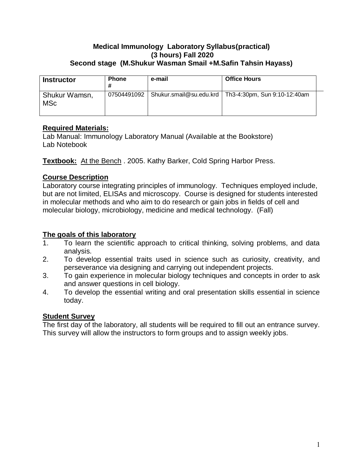#### **Medical Immunology Laboratory Syllabus(practical) (3 hours) Fall 2020 Second stage (M.Shukur Wasman Smail +M.Safin Tahsin Hayass)**

| <b>Instructor</b>           | <b>Phone</b> | e-mail | <b>Office Hours</b>                                    |
|-----------------------------|--------------|--------|--------------------------------------------------------|
| Shukur Wamsn,<br><b>MSc</b> | 07504491092  |        | Shukur.smail@su.edu.krd   Th3-4:30pm, Sun 9:10-12:40am |

### **Required Materials:**

Lab Manual: Immunology Laboratory Manual (Available at the Bookstore) Lab Notebook

**Textbook:** At the Bench . 2005. Kathy Barker, Cold Spring Harbor Press.

### **Course Description**

Laboratory course integrating principles of immunology. Techniques employed include, but are not limited, ELISAs and microscopy. Course is designed for students interested in molecular methods and who aim to do research or gain jobs in fields of cell and molecular biology, microbiology, medicine and medical technology. (Fall)

## **The goals of this laboratory**

- 1. To learn the scientific approach to critical thinking, solving problems, and data analysis.
- 2. To develop essential traits used in science such as curiosity, creativity, and perseverance via designing and carrying out independent projects.
- 3. To gain experience in molecular biology techniques and concepts in order to ask and answer questions in cell biology.
- 4. To develop the essential writing and oral presentation skills essential in science today.

### **Student Survey**

The first day of the laboratory, all students will be required to fill out an entrance survey. This survey will allow the instructors to form groups and to assign weekly jobs.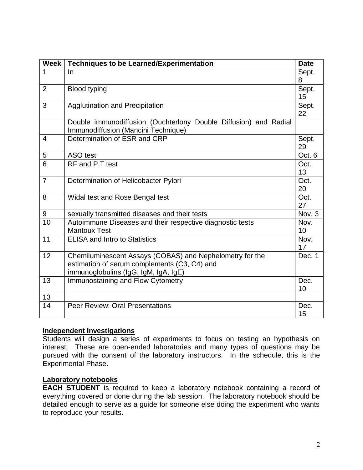| Week             | <b>Techniques to be Learned/Experimentation</b>                                                                                                  | <b>Date</b> |
|------------------|--------------------------------------------------------------------------------------------------------------------------------------------------|-------------|
| 1                | In                                                                                                                                               | Sept.<br>8  |
| $\overline{2}$   | <b>Blood typing</b>                                                                                                                              | Sept.<br>15 |
| 3                | <b>Agglutination and Precipitation</b>                                                                                                           | Sept.<br>22 |
|                  | Double immunodiffusion (Ouchterlony Double Diffusion) and Radial<br>Immunodiffusion (Mancini Technique)                                          |             |
| $\overline{4}$   | Determination of ESR and CRP                                                                                                                     | Sept.<br>29 |
| 5                | ASO test                                                                                                                                         | Oct. 6      |
| $\overline{6}$   | RF and P.T test                                                                                                                                  | Oct.<br>13  |
| $\overline{7}$   | Determination of Helicobacter Pylori                                                                                                             | Oct.<br>20  |
| 8                | Widal test and Rose Bengal test                                                                                                                  | Oct.<br>27  |
| $\boldsymbol{9}$ | sexually transmitted diseases and their tests                                                                                                    | Nov. 3      |
| 10               | Autoimmune Diseases and their respective diagnostic tests<br><b>Mantoux Test</b>                                                                 | Nov.<br>10  |
| 11               | <b>ELISA and Intro to Statistics</b>                                                                                                             | Nov.<br>17  |
| 12               | Chemiluminescent Assays (COBAS) and Nephelometry for the<br>estimation of serum complements (C3, C4) and<br>immunoglobulins (IgG, IgM, IgA, IgE) | Dec. 1      |
| 13               | Immunostaining and Flow Cytometry                                                                                                                | Dec.<br>10  |
| 13               |                                                                                                                                                  |             |
| 14               | Peer Review: Oral Presentations                                                                                                                  | Dec.<br>15  |

### **Independent Investigations**

Students will design a series of experiments to focus on testing an hypothesis on interest. These are open-ended laboratories and many types of questions may be pursued with the consent of the laboratory instructors. In the schedule, this is the Experimental Phase.

### **Laboratory notebooks**

**EACH STUDENT** is required to keep a laboratory notebook containing a record of everything covered or done during the lab session. The laboratory notebook should be detailed enough to serve as a guide for someone else doing the experiment who wants to reproduce your results.